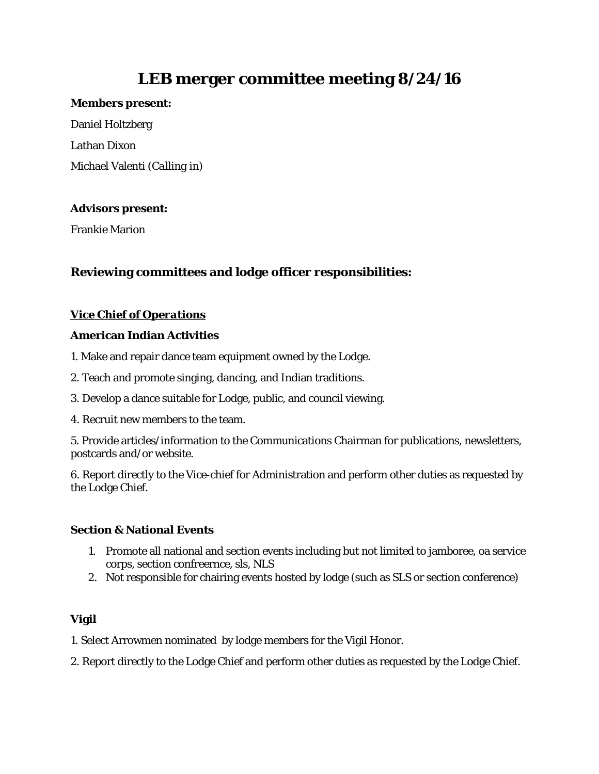# **LEB merger committee meeting 8/24/16**

#### **Members present:**

Daniel Holtzberg Lathan Dixon Michael Valenti *(Calling in)*

## **Advisors present:**

Frankie Marion

# **Reviewing committees and lodge officer responsibilities:**

# *Vice Chief of Operations*

## **American Indian Activities**

- 1. Make and repair dance team equipment owned by the Lodge.
- 2. Teach and promote singing, dancing, and Indian traditions.
- 3. Develop a dance suitable for Lodge, public, and council viewing.
- 4. Recruit new members to the team.

5. Provide articles/information to the Communications Chairman for publications, newsletters, postcards and/or website.

6. Report directly to the Vice-chief for Administration and perform other duties as requested by the Lodge Chief.

# **Section & National Events**

- 1. Promote all national and section events including but not limited to jamboree, oa service corps, section confreernce, sls, NLS
- 2. Not responsible for chairing events hosted by lodge (such as SLS or section conference)

# **Vigil**

1. Select Arrowmen nominated by lodge members for the Vigil Honor.

2. Report directly to the Lodge Chief and perform other duties as requested by the Lodge Chief.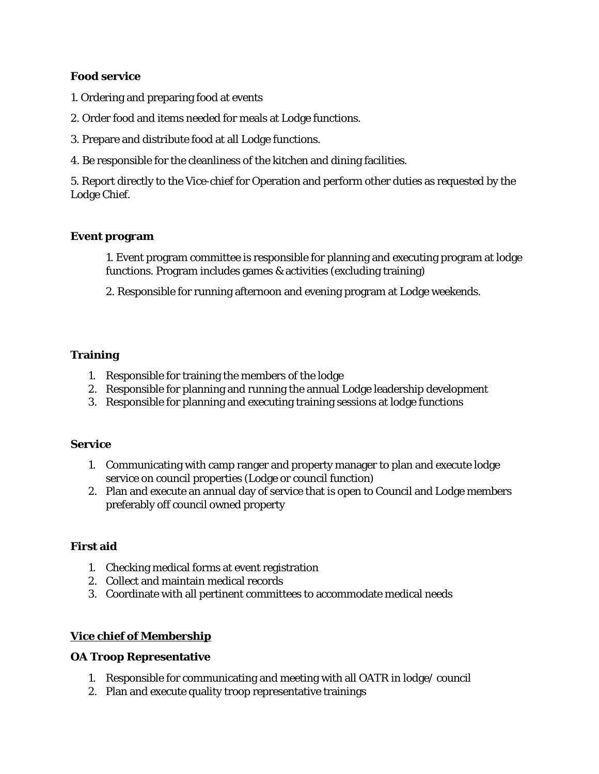## **Food service**

- 1. Ordering and preparing food at events
- 2. Order food and items needed for meals at Lodge functions.
- 3. Prepare and distribute food at all Lodge functions.
- 4. Be responsible for the cleanliness of the kitchen and dining facilities.

5. Report directly to the Vice-chief for Operation and perform other duties as requested by the Lodge Chief.

## **Event program**

1. Event program committee is responsible for planning and executing program at lodge functions. Program includes games & activities (excluding training)

2. Responsible for running afternoon and evening program at Lodge weekends.

## **Training**

- 1. Responsible for training the members of the lodge
- 2. Responsible for planning and running the annual Lodge leadership development
- 3. Responsible for planning and executing training sessions at lodge functions

#### **Service**

- 1. Communicating with camp ranger and property manager to plan and execute lodge service on council properties (Lodge or council function)
- 2. Plan and execute an annual day of service that is open to Council and Lodge members preferably off council owned property

# **First aid**

- 1. Checking medical forms at event registration
- 2. Collect and maintain medical records
- 3. Coordinate with all pertinent committees to accommodate medical needs

# *Vice chief of Membership*

#### **OA Troop Representative**

- 1. Responsible for communicating and meeting with all OATR in lodge/ council
- 2. Plan and execute quality troop representative trainings